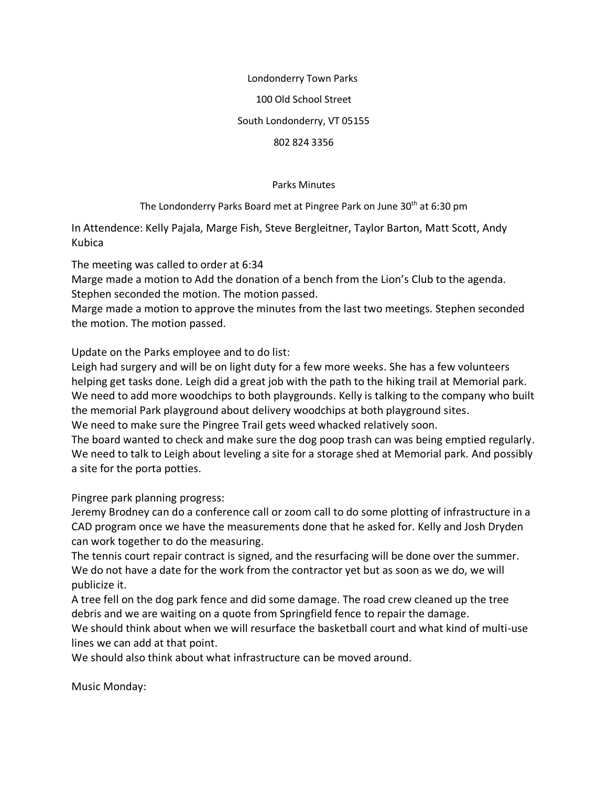## Londonderry Town Parks 100 Old School Street South Londonderry, VT 05155 802 824 3356

Parks Minutes

The Londonderry Parks Board met at Pingree Park on June 30<sup>th</sup> at 6:30 pm

In Attendence: Kelly Pajala, Marge Fish, Steve Bergleitner, Taylor Barton, Matt Scott, Andy Kubica

The meeting was called to order at 6:34

Marge made a motion to Add the donation of a bench from the Lion's Club to the agenda. Stephen seconded the motion. The motion passed.

Marge made a motion to approve the minutes from the last two meetings. Stephen seconded the motion. The motion passed.

Update on the Parks employee and to do list:

Leigh had surgery and will be on light duty for a few more weeks. She has a few volunteers helping get tasks done. Leigh did a great job with the path to the hiking trail at Memorial park. We need to add more woodchips to both playgrounds. Kelly is talking to the company who built the memorial Park playground about delivery woodchips at both playground sites. We need to make sure the Pingree Trail gets weed whacked relatively soon.

The board wanted to check and make sure the dog poop trash can was being emptied regularly. We need to talk to Leigh about leveling a site for a storage shed at Memorial park. And possibly a site for the porta potties.

Pingree park planning progress:

Jeremy Brodney can do a conference call or zoom call to do some plotting of infrastructure in a CAD program once we have the measurements done that he asked for. Kelly and Josh Dryden can work together to do the measuring.

The tennis court repair contract is signed, and the resurfacing will be done over the summer. We do not have a date for the work from the contractor yet but as soon as we do, we will publicize it.

A tree fell on the dog park fence and did some damage. The road crew cleaned up the tree debris and we are waiting on a quote from Springfield fence to repair the damage.

We should think about when we will resurface the basketball court and what kind of multi-use lines we can add at that point.

We should also think about what infrastructure can be moved around.

Music Monday: